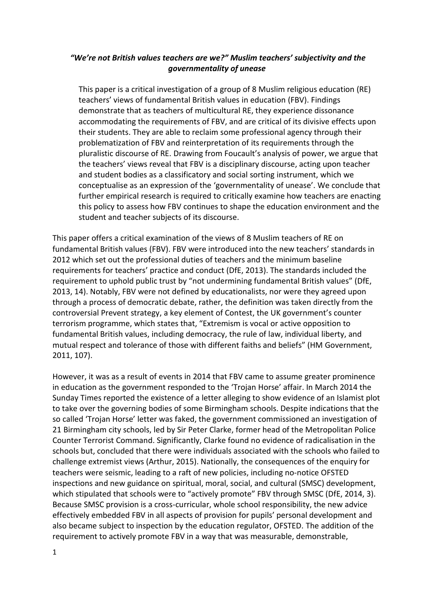## *"We're not British values teachers are we?" Muslim teachers' subjectivity and the governmentality of unease*

This paper is a critical investigation of a group of 8 Muslim religious education (RE) teachers' views of fundamental British values in education (FBV). Findings demonstrate that as teachers of multicultural RE, they experience dissonance accommodating the requirements of FBV, and are critical of its divisive effects upon their students. They are able to reclaim some professional agency through their problematization of FBV and reinterpretation of its requirements through the pluralistic discourse of RE. Drawing from Foucault's analysis of power, we argue that the teachers' views reveal that FBV is a disciplinary discourse, acting upon teacher and student bodies as a classificatory and social sorting instrument, which we conceptualise as an expression of the 'governmentality of unease'. We conclude that further empirical research is required to critically examine how teachers are enacting this policy to assess how FBV continues to shape the education environment and the student and teacher subjects of its discourse.

This paper offers a critical examination of the views of 8 Muslim teachers of RE on fundamental British values (FBV). FBV were introduced into the new teachers' standards in 2012 which set out the professional duties of teachers and the minimum baseline requirements for teachers' practice and conduct (DfE, 2013). The standards included the requirement to uphold public trust by "not undermining fundamental British values" (DfE, 2013, 14). Notably, FBV were not defined by educationalists, nor were they agreed upon through a process of democratic debate, rather, the definition was taken directly from the controversial Prevent strategy, a key element of Contest, the UK government's counter terrorism programme, which states that, "Extremism is vocal or active opposition to fundamental British values, including democracy, the rule of law, individual liberty, and mutual respect and tolerance of those with different faiths and beliefs" (HM Government, 2011, 107).

However, it was as a result of events in 2014 that FBV came to assume greater prominence in education as the government responded to the 'Trojan Horse' affair. In March 2014 the Sunday Times reported the existence of a letter alleging to show evidence of an Islamist plot to take over the governing bodies of some Birmingham schools. Despite indications that the so called 'Trojan Horse' letter was faked, the government commissioned an investigation of 21 Birmingham city schools, led by Sir Peter Clarke, former head of the Metropolitan Police Counter Terrorist Command. Significantly, Clarke found no evidence of radicalisation in the schools but, concluded that there were individuals associated with the schools who failed to challenge extremist views (Arthur, 2015). Nationally, the consequences of the enquiry for teachers were seismic, leading to a raft of new policies, including no-notice OFSTED inspections and new guidance on spiritual, moral, social, and cultural (SMSC) development, which stipulated that schools were to "actively promote" FBV through SMSC (DfE, 2014, 3). Because SMSC provision is a cross-curricular, whole school responsibility, the new advice effectively embedded FBV in all aspects of provision for pupils' personal development and also became subject to inspection by the education regulator, OFSTED. The addition of the requirement to actively promote FBV in a way that was measurable, demonstrable,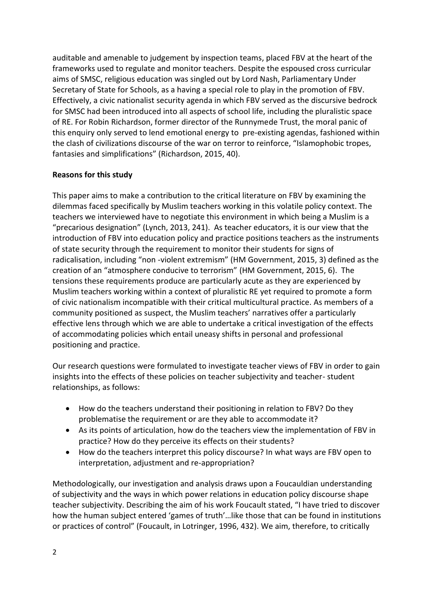auditable and amenable to judgement by inspection teams, placed FBV at the heart of the frameworks used to regulate and monitor teachers. Despite the espoused cross curricular aims of SMSC, religious education was singled out by Lord Nash, Parliamentary Under Secretary of State for Schools, as a having a special role to play in the promotion of FBV. Effectively, a civic nationalist security agenda in which FBV served as the discursive bedrock for SMSC had been introduced into all aspects of school life, including the pluralistic space of RE. For Robin Richardson, former director of the Runnymede Trust, the moral panic of this enquiry only served to lend emotional energy to pre-existing agendas, fashioned within the clash of civilizations discourse of the war on terror to reinforce, "Islamophobic tropes, fantasies and simplifications" (Richardson, 2015, 40).

### **Reasons for this study**

This paper aims to make a contribution to the critical literature on FBV by examining the dilemmas faced specifically by Muslim teachers working in this volatile policy context. The teachers we interviewed have to negotiate this environment in which being a Muslim is a "precarious designation" (Lynch, 2013, 241). As teacher educators, it is our view that the introduction of FBV into education policy and practice positions teachers as the instruments of state security through the requirement to monitor their students for signs of radicalisation, including "non -violent extremism" (HM Government, 2015, 3) defined as the creation of an "atmosphere conducive to terrorism" (HM Government, 2015, 6). The tensions these requirements produce are particularly acute as they are experienced by Muslim teachers working within a context of pluralistic RE yet required to promote a form of civic nationalism incompatible with their critical multicultural practice. As members of a community positioned as suspect, the Muslim teachers' narratives offer a particularly effective lens through which we are able to undertake a critical investigation of the effects of accommodating policies which entail uneasy shifts in personal and professional positioning and practice.

Our research questions were formulated to investigate teacher views of FBV in order to gain insights into the effects of these policies on teacher subjectivity and teacher- student relationships, as follows:

- How do the teachers understand their positioning in relation to FBV? Do they problematise the requirement or are they able to accommodate it?
- As its points of articulation, how do the teachers view the implementation of FBV in practice? How do they perceive its effects on their students?
- How do the teachers interpret this policy discourse? In what ways are FBV open to interpretation, adjustment and re-appropriation?

Methodologically, our investigation and analysis draws upon a Foucauldian understanding of subjectivity and the ways in which power relations in education policy discourse shape teacher subjectivity. Describing the aim of his work Foucault stated, "I have tried to discover how the human subject entered 'games of truth'…like those that can be found in institutions or practices of control" (Foucault, in Lotringer, 1996, 432). We aim, therefore, to critically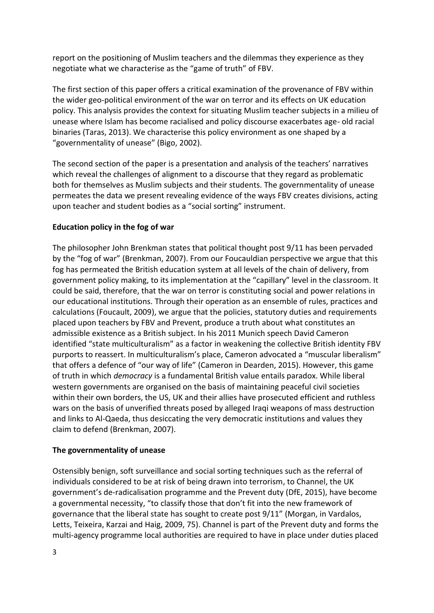report on the positioning of Muslim teachers and the dilemmas they experience as they negotiate what we characterise as the "game of truth" of FBV.

The first section of this paper offers a critical examination of the provenance of FBV within the wider geo-political environment of the war on terror and its effects on UK education policy. This analysis provides the context for situating Muslim teacher subjects in a milieu of unease where Islam has become racialised and policy discourse exacerbates age- old racial binaries (Taras, 2013). We characterise this policy environment as one shaped by a "governmentality of unease" (Bigo, 2002).

The second section of the paper is a presentation and analysis of the teachers' narratives which reveal the challenges of alignment to a discourse that they regard as problematic both for themselves as Muslim subjects and their students. The governmentality of unease permeates the data we present revealing evidence of the ways FBV creates divisions, acting upon teacher and student bodies as a "social sorting" instrument.

## **Education policy in the fog of war**

The philosopher John Brenkman states that political thought post 9/11 has been pervaded by the "fog of war" (Brenkman, 2007). From our Foucauldian perspective we argue that this fog has permeated the British education system at all levels of the chain of delivery, from government policy making, to its implementation at the "capillary" level in the classroom. It could be said, therefore, that the war on terror is constituting social and power relations in our educational institutions. Through their operation as an ensemble of rules, practices and calculations (Foucault, 2009), we argue that the policies, statutory duties and requirements placed upon teachers by FBV and Prevent, produce a truth about what constitutes an admissible existence as a British subject. In his 2011 Munich speech David Cameron identified "state multiculturalism" as a factor in weakening the collective British identity FBV purports to reassert. In multiculturalism's place, Cameron advocated a "muscular liberalism" that offers a defence of "our way of life" (Cameron in Dearden, 2015). However, this game of truth in which *democracy* is a fundamental British value entails paradox. While liberal western governments are organised on the basis of maintaining peaceful civil societies within their own borders, the US, UK and their allies have prosecuted efficient and ruthless wars on the basis of unverified threats posed by alleged Iraqi weapons of mass destruction and links to Al-Qaeda, thus desiccating the very democratic institutions and values they claim to defend (Brenkman, 2007).

#### **The governmentality of unease**

Ostensibly benign, soft surveillance and social sorting techniques such as the referral of individuals considered to be at risk of being drawn into terrorism, to Channel, the UK government's de-radicalisation programme and the Prevent duty (DfE, 2015), have become a governmental necessity, "to classify those that don't fit into the new framework of governance that the liberal state has sought to create post 9/11" (Morgan, in Vardalos, Letts, Teixeira, Karzai and Haig, 2009, 75). Channel is part of the Prevent duty and forms the multi-agency programme local authorities are required to have in place under duties placed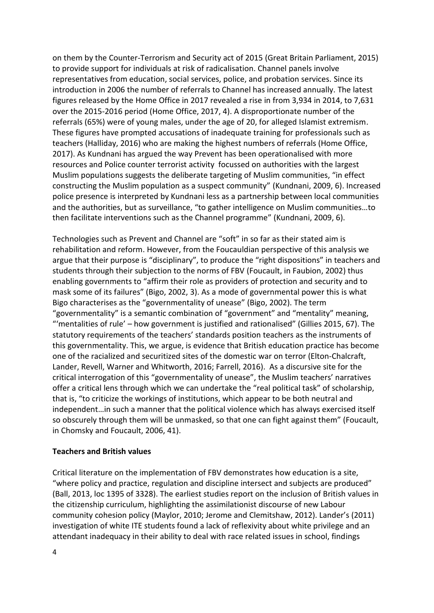on them by the Counter-Terrorism and Security act of 2015 (Great Britain Parliament, 2015) to provide support for individuals at risk of radicalisation. Channel panels involve representatives from education, social services, police, and probation services. Since its introduction in 2006 the number of referrals to Channel has increased annually. The latest figures released by the Home Office in 2017 revealed a rise in from 3,934 in 2014, to 7,631 over the 2015-2016 period (Home Office, 2017, 4). A disproportionate number of the referrals (65%) were of young males, under the age of 20, for alleged Islamist extremism. These figures have prompted accusations of inadequate training for professionals such as teachers (Halliday, 2016) who are making the highest numbers of referrals (Home Office, 2017). As Kundnani has argued the way Prevent has been operationalised with more resources and Police counter terrorist activity focussed on authorities with the largest Muslim populations suggests the deliberate targeting of Muslim communities, "in effect constructing the Muslim population as a suspect community" (Kundnani, 2009, 6). Increased police presence is interpreted by Kundnani less as a partnership between local communities and the authorities, but as surveillance, "to gather intelligence on Muslim communities…to then facilitate interventions such as the Channel programme" (Kundnani, 2009, 6).

Technologies such as Prevent and Channel are "soft" in so far as their stated aim is rehabilitation and reform. However, from the Foucauldian perspective of this analysis we argue that their purpose is "disciplinary", to produce the "right dispositions" in teachers and students through their subjection to the norms of FBV (Foucault, in Faubion, 2002) thus enabling governments to "affirm their role as providers of protection and security and to mask some of its failures" (Bigo, 2002, 3). As a mode of governmental power this is what Bigo characterises as the "governmentality of unease" (Bigo, 2002). The term "governmentality" is a semantic combination of "government" and "mentality" meaning, "'mentalities of rule' – how government is justified and rationalised" (Gillies 2015, 67). The statutory requirements of the teachers' standards position teachers as the instruments of this governmentality. This, we argue, is evidence that British education practice has become one of the racialized and securitized sites of the domestic war on terror (Elton-Chalcraft, Lander, Revell, Warner and Whitworth, 2016; Farrell, 2016). As a discursive site for the critical interrogation of this "governmentality of unease", the Muslim teachers' narratives offer a critical lens through which we can undertake the "real political task" of scholarship, that is, "to criticize the workings of institutions, which appear to be both neutral and independent…in such a manner that the political violence which has always exercised itself so obscurely through them will be unmasked, so that one can fight against them" (Foucault, in Chomsky and Foucault, 2006, 41).

#### **Teachers and British values**

Critical literature on the implementation of FBV demonstrates how education is a site, "where policy and practice, regulation and discipline intersect and subjects are produced" (Ball, 2013, loc 1395 of 3328). The earliest studies report on the inclusion of British values in the citizenship curriculum, highlighting the assimilationist discourse of new Labour community cohesion policy (Maylor, 2010; Jerome and Clemitshaw, 2012). Lander's (2011) investigation of white ITE students found a lack of reflexivity about white privilege and an attendant inadequacy in their ability to deal with race related issues in school, findings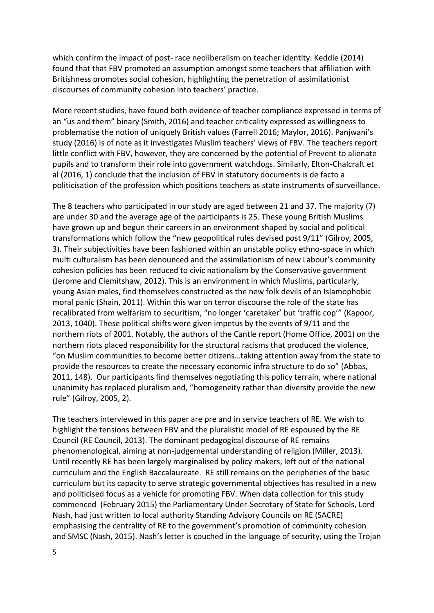which confirm the impact of post- race neoliberalism on teacher identity. Keddie (2014) found that that FBV promoted an assumption amongst some teachers that affiliation with Britishness promotes social cohesion, highlighting the penetration of assimilationist discourses of community cohesion into teachers' practice.

More recent studies, have found both evidence of teacher compliance expressed in terms of an "us and them" binary (Smith, 2016) and teacher criticality expressed as willingness to problematise the notion of uniquely British values (Farrell 2016; Maylor, 2016). Panjwani's study (2016) is of note as it investigates Muslim teachers' views of FBV. The teachers report little conflict with FBV, however, they are concerned by the potential of Prevent to alienate pupils and to transform their role into government watchdogs. Similarly, Elton-Chalcraft et al (2016, 1) conclude that the inclusion of FBV in statutory documents is de facto a politicisation of the profession which positions teachers as state instruments of surveillance.

The 8 teachers who participated in our study are aged between 21 and 37. The majority (7) are under 30 and the average age of the participants is 25. These young British Muslims have grown up and begun their careers in an environment shaped by social and political transformations which follow the "new geopolitical rules devised post 9/11" (Gilroy, 2005, 3). Their subjectivities have been fashioned within an unstable policy ethno-space in which multi culturalism has been denounced and the assimilationism of new Labour's community cohesion policies has been reduced to civic nationalism by the Conservative government (Jerome and Clemitshaw, 2012). This is an environment in which Muslims, particularly, young Asian males, find themselves constructed as the new folk devils of an Islamophobic moral panic (Shain, 2011). Within this war on terror discourse the role of the state has recalibrated from welfarism to securitism, "no longer 'caretaker' but 'traffic cop'" (Kapoor, 2013, 1040). These political shifts were given impetus by the events of 9/11 and the northern riots of 2001. Notably, the authors of the Cantle report (Home Office, 2001) on the northern riots placed responsibility for the structural racisms that produced the violence, "on Muslim communities to become better citizens…taking attention away from the state to provide the resources to create the necessary economic infra structure to do so" (Abbas, 2011, 148). Our participants find themselves negotiating this policy terrain, where national unanimity has replaced pluralism and, "homogeneity rather than diversity provide the new rule" (Gilroy, 2005, 2).

The teachers interviewed in this paper are pre and in service teachers of RE. We wish to highlight the tensions between FBV and the pluralistic model of RE espoused by the RE Council (RE Council, 2013). The dominant pedagogical discourse of RE remains phenomenological, aiming at non-judgemental understanding of religion (Miller, 2013). Until recently RE has been largely marginalised by policy makers, left out of the national curriculum and the English Baccalaureate. RE still remains on the peripheries of the basic curriculum but its capacity to serve strategic governmental objectives has resulted in a new and politicised focus as a vehicle for promoting FBV. When data collection for this study commenced (February 2015) the Parliamentary Under-Secretary of State for Schools, Lord Nash, had just written to local authority Standing Advisory Councils on RE (SACRE) emphasising the centrality of RE to the government's promotion of community cohesion and SMSC (Nash, 2015). Nash's letter is couched in the language of security, using the Trojan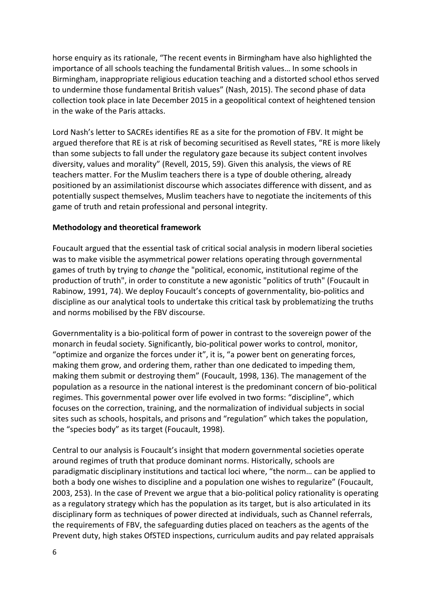horse enquiry as its rationale, "The recent events in Birmingham have also highlighted the importance of all schools teaching the fundamental British values… In some schools in Birmingham, inappropriate religious education teaching and a distorted school ethos served to undermine those fundamental British values" (Nash, 2015). The second phase of data collection took place in late December 2015 in a geopolitical context of heightened tension in the wake of the Paris attacks.

Lord Nash's letter to SACREs identifies RE as a site for the promotion of FBV. It might be argued therefore that RE is at risk of becoming securitised as Revell states, "RE is more likely than some subjects to fall under the regulatory gaze because its subject content involves diversity, values and morality" (Revell, 2015, 59). Given this analysis, the views of RE teachers matter. For the Muslim teachers there is a type of double othering, already positioned by an assimilationist discourse which associates difference with dissent, and as potentially suspect themselves, Muslim teachers have to negotiate the incitements of this game of truth and retain professional and personal integrity.

#### **Methodology and theoretical framework**

Foucault argued that the essential task of critical social analysis in modern liberal societies was to make visible the asymmetrical power relations operating through governmental games of truth by trying to *change* the "political, economic, institutional regime of the production of truth", in order to constitute a new agonistic "politics of truth" (Foucault in Rabinow, 1991, 74). We deploy Foucault's concepts of governmentality, bio-politics and discipline as our analytical tools to undertake this critical task by problematizing the truths and norms mobilised by the FBV discourse.

Governmentality is a bio-political form of power in contrast to the sovereign power of the monarch in feudal society. Significantly, bio-political power works to control, monitor, "optimize and organize the forces under it", it is, "a power bent on generating forces, making them grow, and ordering them, rather than one dedicated to impeding them, making them submit or destroying them" (Foucault, 1998, 136). The management of the population as a resource in the national interest is the predominant concern of bio-political regimes. This governmental power over life evolved in two forms: "discipline", which focuses on the correction, training, and the normalization of individual subjects in social sites such as schools, hospitals, and prisons and "regulation" which takes the population, the "species body" as its target (Foucault, 1998).

Central to our analysis is Foucault's insight that modern governmental societies operate around regimes of truth that produce dominant norms. Historically, schools are paradigmatic disciplinary institutions and tactical loci where, "the norm… can be applied to both a body one wishes to discipline and a population one wishes to regularize" (Foucault, 2003, 253). In the case of Prevent we argue that a bio-political policy rationality is operating as a regulatory strategy which has the population as its target, but is also articulated in its disciplinary form as techniques of power directed at individuals, such as Channel referrals, the requirements of FBV, the safeguarding duties placed on teachers as the agents of the Prevent duty, high stakes OfSTED inspections, curriculum audits and pay related appraisals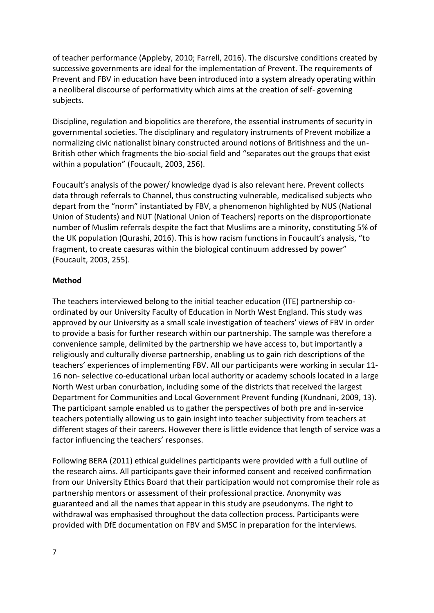of teacher performance (Appleby, 2010; Farrell, 2016). The discursive conditions created by successive governments are ideal for the implementation of Prevent. The requirements of Prevent and FBV in education have been introduced into a system already operating within a neoliberal discourse of performativity which aims at the creation of self- governing subjects.

Discipline, regulation and biopolitics are therefore, the essential instruments of security in governmental societies. The disciplinary and regulatory instruments of Prevent mobilize a normalizing civic nationalist binary constructed around notions of Britishness and the un-British other which fragments the bio-social field and "separates out the groups that exist within a population" (Foucault, 2003, 256).

Foucault's analysis of the power/ knowledge dyad is also relevant here. Prevent collects data through referrals to Channel, thus constructing vulnerable, medicalised subjects who depart from the "norm" instantiated by FBV, a phenomenon highlighted by NUS (National Union of Students) and NUT (National Union of Teachers) reports on the disproportionate number of Muslim referrals despite the fact that Muslims are a minority, constituting 5% of the UK population (Qurashi, 2016). This is how racism functions in Foucault's analysis, "to fragment, to create caesuras within the biological continuum addressed by power" (Foucault, 2003, 255).

### **Method**

The teachers interviewed belong to the initial teacher education (ITE) partnership coordinated by our University Faculty of Education in North West England. This study was approved by our University as a small scale investigation of teachers' views of FBV in order to provide a basis for further research within our partnership. The sample was therefore a convenience sample, delimited by the partnership we have access to, but importantly a religiously and culturally diverse partnership, enabling us to gain rich descriptions of the teachers' experiences of implementing FBV. All our participants were working in secular 11- 16 non- selective co-educational urban local authority or academy schools located in a large North West urban conurbation, including some of the districts that received the largest Department for Communities and Local Government Prevent funding (Kundnani, 2009, 13). The participant sample enabled us to gather the perspectives of both pre and in-service teachers potentially allowing us to gain insight into teacher subjectivity from teachers at different stages of their careers. However there is little evidence that length of service was a factor influencing the teachers' responses.

Following BERA (2011) ethical guidelines participants were provided with a full outline of the research aims. All participants gave their informed consent and received confirmation from our University Ethics Board that their participation would not compromise their role as partnership mentors or assessment of their professional practice. Anonymity was guaranteed and all the names that appear in this study are pseudonyms. The right to withdrawal was emphasised throughout the data collection process. Participants were provided with DfE documentation on FBV and SMSC in preparation for the interviews.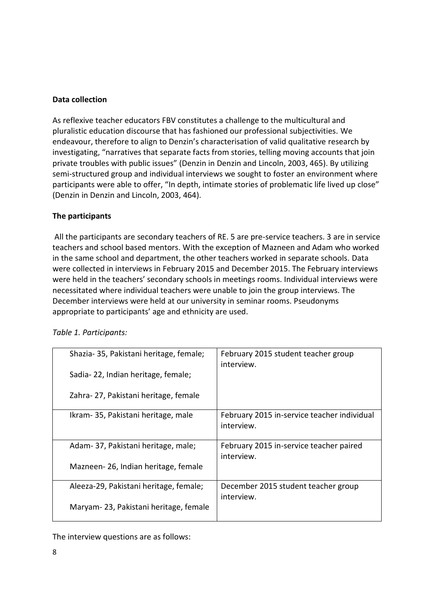### **Data collection**

As reflexive teacher educators FBV constitutes a challenge to the multicultural and pluralistic education discourse that has fashioned our professional subjectivities. We endeavour, therefore to align to Denzin's characterisation of valid qualitative research by investigating, "narratives that separate facts from stories, telling moving accounts that join private troubles with public issues" (Denzin in Denzin and Lincoln, 2003, 465). By utilizing semi-structured group and individual interviews we sought to foster an environment where participants were able to offer, "In depth, intimate stories of problematic life lived up close" (Denzin in Denzin and Lincoln, 2003, 464).

### **The participants**

All the participants are secondary teachers of RE. 5 are pre-service teachers. 3 are in service teachers and school based mentors. With the exception of Mazneen and Adam who worked in the same school and department, the other teachers worked in separate schools. Data were collected in interviews in February 2015 and December 2015. The February interviews were held in the teachers' secondary schools in meetings rooms. Individual interviews were necessitated where individual teachers were unable to join the group interviews. The December interviews were held at our university in seminar rooms. Pseudonyms appropriate to participants' age and ethnicity are used.

| Shazia-35, Pakistani heritage, female;<br>Sadia-22, Indian heritage, female; | February 2015 student teacher group<br>interview.         |
|------------------------------------------------------------------------------|-----------------------------------------------------------|
| Zahra-27, Pakistani heritage, female                                         |                                                           |
| Ikram - 35, Pakistani heritage, male                                         | February 2015 in-service teacher individual<br>interview. |
| Adam-37, Pakistani heritage, male;                                           | February 2015 in-service teacher paired<br>interview.     |
| Mazneen-26, Indian heritage, female                                          |                                                           |
| Aleeza-29, Pakistani heritage, female;                                       | December 2015 student teacher group<br>interview.         |
| Maryam-23, Pakistani heritage, female                                        |                                                           |

#### *Table 1. Participants:*

The interview questions are as follows: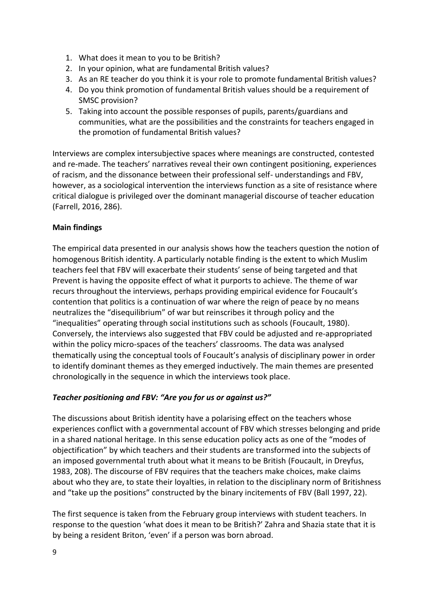- 1. What does it mean to you to be British?
- 2. In your opinion, what are fundamental British values?
- 3. As an RE teacher do you think it is your role to promote fundamental British values?
- 4. Do you think promotion of fundamental British values should be a requirement of SMSC provision?
- 5. Taking into account the possible responses of pupils, parents/guardians and communities, what are the possibilities and the constraints for teachers engaged in the promotion of fundamental British values?

Interviews are complex intersubjective spaces where meanings are constructed, contested and re-made. The teachers' narratives reveal their own contingent positioning, experiences of racism, and the dissonance between their professional self- understandings and FBV, however, as a sociological intervention the interviews function as a site of resistance where critical dialogue is privileged over the dominant managerial discourse of teacher education (Farrell, 2016, 286).

## **Main findings**

The empirical data presented in our analysis shows how the teachers question the notion of homogenous British identity. A particularly notable finding is the extent to which Muslim teachers feel that FBV will exacerbate their students' sense of being targeted and that Prevent is having the opposite effect of what it purports to achieve. The theme of war recurs throughout the interviews, perhaps providing empirical evidence for Foucault's contention that politics is a continuation of war where the reign of peace by no means neutralizes the "disequilibrium" of war but reinscribes it through policy and the "inequalities" operating through social institutions such as schools (Foucault, 1980). Conversely, the interviews also suggested that FBV could be adjusted and re-appropriated within the policy micro-spaces of the teachers' classrooms. The data was analysed thematically using the conceptual tools of Foucault's analysis of disciplinary power in order to identify dominant themes as they emerged inductively. The main themes are presented chronologically in the sequence in which the interviews took place.

## *Teacher positioning and FBV: "Are you for us or against us?"*

The discussions about British identity have a polarising effect on the teachers whose experiences conflict with a governmental account of FBV which stresses belonging and pride in a shared national heritage. In this sense education policy acts as one of the "modes of objectification" by which teachers and their students are transformed into the subjects of an imposed governmental truth about what it means to be British (Foucault, in Dreyfus, 1983, 208). The discourse of FBV requires that the teachers make choices, make claims about who they are, to state their loyalties, in relation to the disciplinary norm of Britishness and "take up the positions" constructed by the binary incitements of FBV (Ball 1997, 22).

The first sequence is taken from the February group interviews with student teachers. In response to the question 'what does it mean to be British?' Zahra and Shazia state that it is by being a resident Briton, 'even' if a person was born abroad.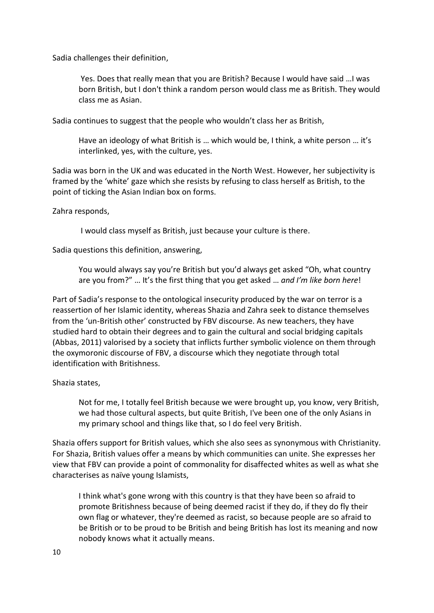Sadia challenges their definition,

Yes. Does that really mean that you are British? Because I would have said …I was born British, but I don't think a random person would class me as British. They would class me as Asian.

Sadia continues to suggest that the people who wouldn't class her as British,

Have an ideology of what British is … which would be, I think, a white person … it's interlinked, yes, with the culture, yes.

Sadia was born in the UK and was educated in the North West. However, her subjectivity is framed by the 'white' gaze which she resists by refusing to class herself as British, to the point of ticking the Asian Indian box on forms.

Zahra responds,

I would class myself as British, just because your culture is there.

Sadia questions this definition, answering,

You would always say you're British but you'd always get asked "Oh, what country are you from?" … It's the first thing that you get asked … *and I'm like born here*!

Part of Sadia's response to the ontological insecurity produced by the war on terror is a reassertion of her Islamic identity, whereas Shazia and Zahra seek to distance themselves from the 'un-British other' constructed by FBV discourse. As new teachers, they have studied hard to obtain their degrees and to gain the cultural and social bridging capitals (Abbas, 2011) valorised by a society that inflicts further symbolic violence on them through the oxymoronic discourse of FBV, a discourse which they negotiate through total identification with Britishness.

Shazia states,

Not for me, I totally feel British because we were brought up, you know, very British, we had those cultural aspects, but quite British, I've been one of the only Asians in my primary school and things like that, so I do feel very British.

Shazia offers support for British values, which she also sees as synonymous with Christianity. For Shazia, British values offer a means by which communities can unite. She expresses her view that FBV can provide a point of commonality for disaffected whites as well as what she characterises as naïve young Islamists,

I think what's gone wrong with this country is that they have been so afraid to promote Britishness because of being deemed racist if they do, if they do fly their own flag or whatever, they're deemed as racist, so because people are so afraid to be British or to be proud to be British and being British has lost its meaning and now nobody knows what it actually means.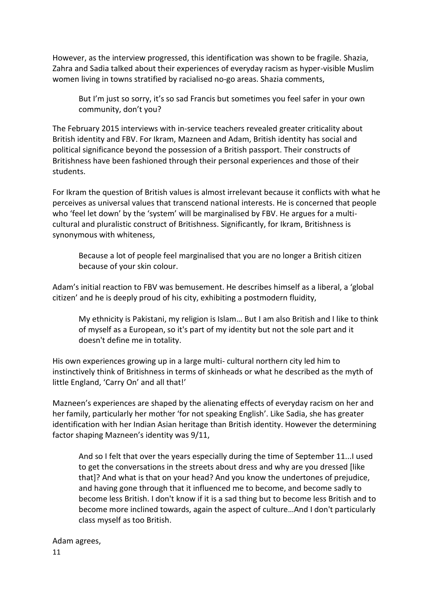However, as the interview progressed, this identification was shown to be fragile. Shazia, Zahra and Sadia talked about their experiences of everyday racism as hyper-visible Muslim women living in towns stratified by racialised no-go areas. Shazia comments,

But I'm just so sorry, it's so sad Francis but sometimes you feel safer in your own community, don't you?

The February 2015 interviews with in-service teachers revealed greater criticality about British identity and FBV. For Ikram, Mazneen and Adam, British identity has social and political significance beyond the possession of a British passport. Their constructs of Britishness have been fashioned through their personal experiences and those of their students.

For Ikram the question of British values is almost irrelevant because it conflicts with what he perceives as universal values that transcend national interests. He is concerned that people who 'feel let down' by the 'system' will be marginalised by FBV. He argues for a multicultural and pluralistic construct of Britishness. Significantly, for Ikram, Britishness is synonymous with whiteness,

Because a lot of people feel marginalised that you are no longer a British citizen because of your skin colour.

Adam's initial reaction to FBV was bemusement. He describes himself as a liberal, a 'global citizen' and he is deeply proud of his city, exhibiting a postmodern fluidity,

My ethnicity is Pakistani, my religion is Islam… But I am also British and I like to think of myself as a European, so it's part of my identity but not the sole part and it doesn't define me in totality.

His own experiences growing up in a large multi- cultural northern city led him to instinctively think of Britishness in terms of skinheads or what he described as the myth of little England, 'Carry On' and all that!'

Mazneen's experiences are shaped by the alienating effects of everyday racism on her and her family, particularly her mother 'for not speaking English'. Like Sadia, she has greater identification with her Indian Asian heritage than British identity. However the determining factor shaping Mazneen's identity was 9/11,

And so I felt that over the years especially during the time of September 11...I used to get the conversations in the streets about dress and why are you dressed [like that]? And what is that on your head? And you know the undertones of prejudice, and having gone through that it influenced me to become, and become sadly to become less British. I don't know if it is a sad thing but to become less British and to become more inclined towards, again the aspect of culture…And I don't particularly class myself as too British.

Adam agrees,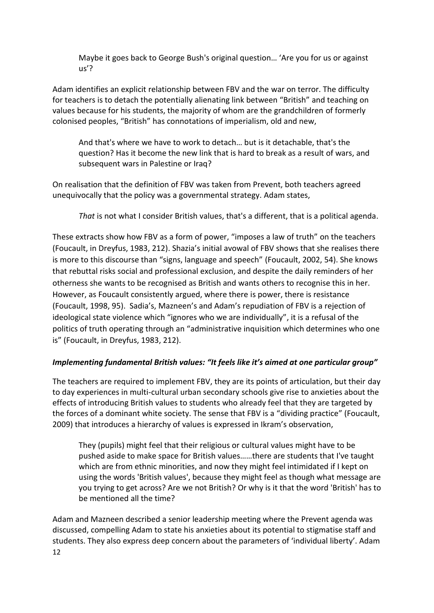Maybe it goes back to George Bush's original question… 'Are you for us or against us'?

Adam identifies an explicit relationship between FBV and the war on terror. The difficulty for teachers is to detach the potentially alienating link between "British" and teaching on values because for his students, the majority of whom are the grandchildren of formerly colonised peoples, "British" has connotations of imperialism, old and new,

And that's where we have to work to detach… but is it detachable, that's the question? Has it become the new link that is hard to break as a result of wars, and subsequent wars in Palestine or Iraq?

On realisation that the definition of FBV was taken from Prevent, both teachers agreed unequivocally that the policy was a governmental strategy. Adam states,

*That* is not what I consider British values, that's a different, that is a political agenda.

These extracts show how FBV as a form of power, "imposes a law of truth" on the teachers (Foucault, in Dreyfus, 1983, 212). Shazia's initial avowal of FBV shows that she realises there is more to this discourse than "signs, language and speech" (Foucault, 2002, 54). She knows that rebuttal risks social and professional exclusion, and despite the daily reminders of her otherness she wants to be recognised as British and wants others to recognise this in her. However, as Foucault consistently argued, where there is power, there is resistance (Foucault, 1998, 95). Sadia's, Mazneen's and Adam's repudiation of FBV is a rejection of ideological state violence which "ignores who we are individually", it is a refusal of the politics of truth operating through an "administrative inquisition which determines who one is" (Foucault, in Dreyfus, 1983, 212).

# *Implementing fundamental British values: "It feels like it's aimed at one particular group"*

The teachers are required to implement FBV, they are its points of articulation, but their day to day experiences in multi-cultural urban secondary schools give rise to anxieties about the effects of introducing British values to students who already feel that they are targeted by the forces of a dominant white society. The sense that FBV is a "dividing practice" (Foucault, 2009) that introduces a hierarchy of values is expressed in Ikram's observation,

They (pupils) might feel that their religious or cultural values might have to be pushed aside to make space for British values……there are students that I've taught which are from ethnic minorities, and now they might feel intimidated if I kept on using the words 'British values', because they might feel as though what message are you trying to get across? Are we not British? Or why is it that the word 'British' has to be mentioned all the time?

12 Adam and Mazneen described a senior leadership meeting where the Prevent agenda was discussed, compelling Adam to state his anxieties about its potential to stigmatise staff and students. They also express deep concern about the parameters of 'individual liberty'. Adam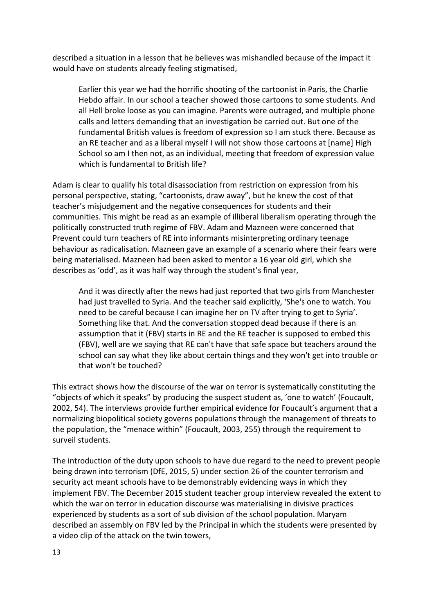described a situation in a lesson that he believes was mishandled because of the impact it would have on students already feeling stigmatised,

Earlier this year we had the horrific shooting of the cartoonist in Paris, the Charlie Hebdo affair. In our school a teacher showed those cartoons to some students. And all Hell broke loose as you can imagine. Parents were outraged, and multiple phone calls and letters demanding that an investigation be carried out. But one of the fundamental British values is freedom of expression so I am stuck there. Because as an RE teacher and as a liberal myself I will not show those cartoons at [name] High School so am I then not, as an individual, meeting that freedom of expression value which is fundamental to British life?

Adam is clear to qualify his total disassociation from restriction on expression from his personal perspective, stating, "cartoonists, draw away", but he knew the cost of that teacher's misjudgement and the negative consequences for students and their communities. This might be read as an example of illiberal liberalism operating through the politically constructed truth regime of FBV. Adam and Mazneen were concerned that Prevent could turn teachers of RE into informants misinterpreting ordinary teenage behaviour as radicalisation. Mazneen gave an example of a scenario where their fears were being materialised. Mazneen had been asked to mentor a 16 year old girl, which she describes as 'odd', as it was half way through the student's final year,

And it was directly after the news had just reported that two girls from Manchester had just travelled to Syria. And the teacher said explicitly, 'She's one to watch. You need to be careful because I can imagine her on TV after trying to get to Syria'. Something like that. And the conversation stopped dead because if there is an assumption that it (FBV) starts in RE and the RE teacher is supposed to embed this (FBV), well are we saying that RE can't have that safe space but teachers around the school can say what they like about certain things and they won't get into trouble or that won't be touched?

This extract shows how the discourse of the war on terror is systematically constituting the "objects of which it speaks" by producing the suspect student as, 'one to watch' (Foucault, 2002, 54). The interviews provide further empirical evidence for Foucault's argument that a normalizing biopolitical society governs populations through the management of threats to the population, the "menace within" (Foucault, 2003, 255) through the requirement to surveil students.

The introduction of the duty upon schools to have due regard to the need to prevent people being drawn into terrorism (DfE, 2015, 5) under section 26 of the counter terrorism and security act meant schools have to be demonstrably evidencing ways in which they implement FBV. The December 2015 student teacher group interview revealed the extent to which the war on terror in education discourse was materialising in divisive practices experienced by students as a sort of sub division of the school population. Maryam described an assembly on FBV led by the Principal in which the students were presented by a video clip of the attack on the twin towers,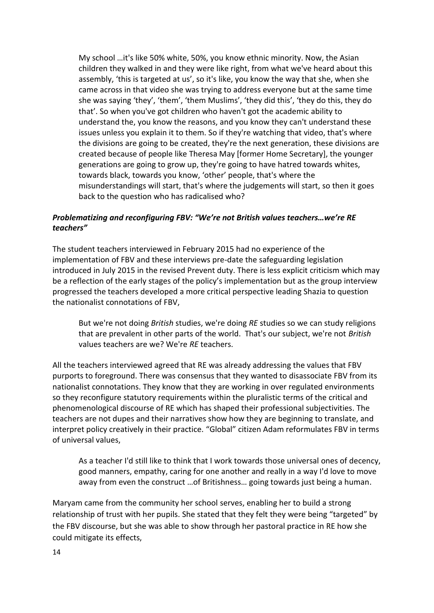My school …it's like 50% white, 50%, you know ethnic minority. Now, the Asian children they walked in and they were like right, from what we've heard about this assembly, 'this is targeted at us', so it's like, you know the way that she, when she came across in that video she was trying to address everyone but at the same time she was saying 'they', 'them', 'them Muslims', 'they did this', 'they do this, they do that'. So when you've got children who haven't got the academic ability to understand the, you know the reasons, and you know they can't understand these issues unless you explain it to them. So if they're watching that video, that's where the divisions are going to be created, they're the next generation, these divisions are created because of people like Theresa May [former Home Secretary], the younger generations are going to grow up, they're going to have hatred towards whites, towards black, towards you know, 'other' people, that's where the misunderstandings will start, that's where the judgements will start, so then it goes back to the question who has radicalised who?

## *Problematizing and reconfiguring FBV: "We're not British values teachers…we're RE teachers"*

The student teachers interviewed in February 2015 had no experience of the implementation of FBV and these interviews pre-date the safeguarding legislation introduced in July 2015 in the revised Prevent duty. There is less explicit criticism which may be a reflection of the early stages of the policy's implementation but as the group interview progressed the teachers developed a more critical perspective leading Shazia to question the nationalist connotations of FBV,

But we're not doing *British* studies, we're doing *RE* studies so we can study religions that are prevalent in other parts of the world. That's our subject, we're not *British* values teachers are we? We're *RE* teachers.

All the teachers interviewed agreed that RE was already addressing the values that FBV purports to foreground. There was consensus that they wanted to disassociate FBV from its nationalist connotations. They know that they are working in over regulated environments so they reconfigure statutory requirements within the pluralistic terms of the critical and phenomenological discourse of RE which has shaped their professional subjectivities. The teachers are not dupes and their narratives show how they are beginning to translate, and interpret policy creatively in their practice. "Global" citizen Adam reformulates FBV in terms of universal values,

As a teacher I'd still like to think that I work towards those universal ones of decency, good manners, empathy, caring for one another and really in a way I'd love to move away from even the construct …of Britishness… going towards just being a human.

Maryam came from the community her school serves, enabling her to build a strong relationship of trust with her pupils. She stated that they felt they were being "targeted" by the FBV discourse, but she was able to show through her pastoral practice in RE how she could mitigate its effects,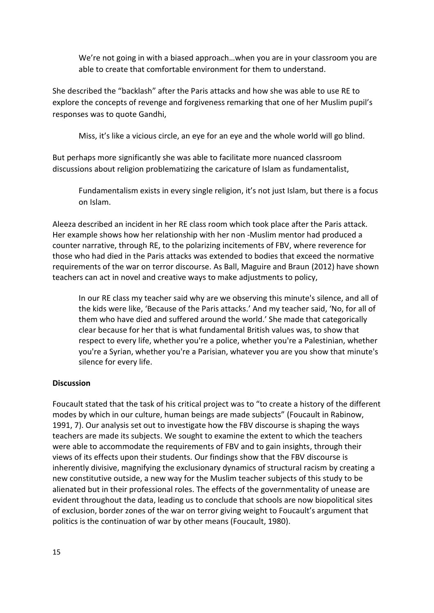We're not going in with a biased approach…when you are in your classroom you are able to create that comfortable environment for them to understand.

She described the "backlash" after the Paris attacks and how she was able to use RE to explore the concepts of revenge and forgiveness remarking that one of her Muslim pupil's responses was to quote Gandhi,

Miss, it's like a vicious circle, an eye for an eye and the whole world will go blind.

But perhaps more significantly she was able to facilitate more nuanced classroom discussions about religion problematizing the caricature of Islam as fundamentalist,

Fundamentalism exists in every single religion, it's not just Islam, but there is a focus on Islam.

Aleeza described an incident in her RE class room which took place after the Paris attack. Her example shows how her relationship with her non -Muslim mentor had produced a counter narrative, through RE, to the polarizing incitements of FBV, where reverence for those who had died in the Paris attacks was extended to bodies that exceed the normative requirements of the war on terror discourse. As Ball, Maguire and Braun (2012) have shown teachers can act in novel and creative ways to make adjustments to policy,

In our RE class my teacher said why are we observing this minute's silence, and all of the kids were like, 'Because of the Paris attacks.' And my teacher said, 'No, for all of them who have died and suffered around the world.' She made that categorically clear because for her that is what fundamental British values was, to show that respect to every life, whether you're a police, whether you're a Palestinian, whether you're a Syrian, whether you're a Parisian, whatever you are you show that minute's silence for every life.

#### **Discussion**

Foucault stated that the task of his critical project was to "to create a history of the different modes by which in our culture, human beings are made subjects" (Foucault in Rabinow, 1991, 7). Our analysis set out to investigate how the FBV discourse is shaping the ways teachers are made its subjects. We sought to examine the extent to which the teachers were able to accommodate the requirements of FBV and to gain insights, through their views of its effects upon their students. Our findings show that the FBV discourse is inherently divisive, magnifying the exclusionary dynamics of structural racism by creating a new constitutive outside, a new way for the Muslim teacher subjects of this study to be alienated but in their professional roles. The effects of the governmentality of unease are evident throughout the data, leading us to conclude that schools are now biopolitical sites of exclusion, border zones of the war on terror giving weight to Foucault's argument that politics is the continuation of war by other means (Foucault, 1980).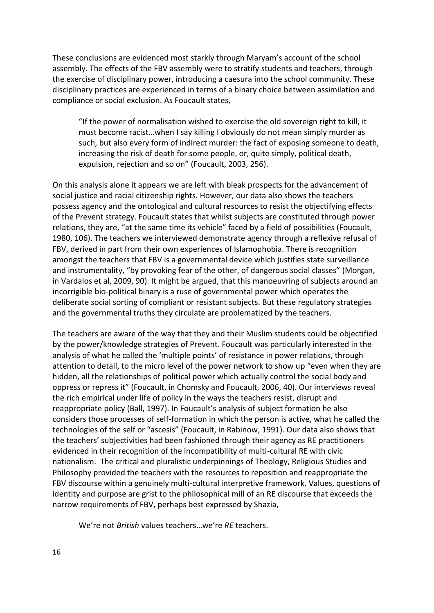These conclusions are evidenced most starkly through Maryam's account of the school assembly. The effects of the FBV assembly were to stratify students and teachers, through the exercise of disciplinary power, introducing a caesura into the school community. These disciplinary practices are experienced in terms of a binary choice between assimilation and compliance or social exclusion. As Foucault states,

"If the power of normalisation wished to exercise the old sovereign right to kill, it must become racist…when I say killing I obviously do not mean simply murder as such, but also every form of indirect murder: the fact of exposing someone to death, increasing the risk of death for some people, or, quite simply, political death, expulsion, rejection and so on" (Foucault, 2003, 256).

On this analysis alone it appears we are left with bleak prospects for the advancement of social justice and racial citizenship rights. However, our data also shows the teachers possess agency and the ontological and cultural resources to resist the objectifying effects of the Prevent strategy. Foucault states that whilst subjects are constituted through power relations, they are, "at the same time its vehicle" faced by a field of possibilities (Foucault, 1980, 106). The teachers we interviewed demonstrate agency through a reflexive refusal of FBV, derived in part from their own experiences of Islamophobia. There is recognition amongst the teachers that FBV is a governmental device which justifies state surveillance and instrumentality, "by provoking fear of the other, of dangerous social classes" (Morgan, in Vardalos et al, 2009, 90). It might be argued, that this manoeuvring of subjects around an incorrigible bio-political binary is a ruse of governmental power which operates the deliberate social sorting of compliant or resistant subjects. But these regulatory strategies and the governmental truths they circulate are problematized by the teachers.

The teachers are aware of the way that they and their Muslim students could be objectified by the power/knowledge strategies of Prevent. Foucault was particularly interested in the analysis of what he called the 'multiple points' of resistance in power relations, through attention to detail, to the micro level of the power network to show up "even when they are hidden, all the relationships of political power which actually control the social body and oppress or repress it" (Foucault, in Chomsky and Foucault, 2006, 40). Our interviews reveal the rich empirical under life of policy in the ways the teachers resist, disrupt and reappropriate policy (Ball, 1997). In Foucault's analysis of subject formation he also considers those processes of self-formation in which the person is active, what he called the technologies of the self or "ascesis" (Foucault, in Rabinow, 1991). Our data also shows that the teachers' subjectivities had been fashioned through their agency as RE practitioners evidenced in their recognition of the incompatibility of multi-cultural RE with civic nationalism. The critical and pluralistic underpinnings of Theology, Religious Studies and Philosophy provided the teachers with the resources to reposition and reappropriate the FBV discourse within a genuinely multi-cultural interpretive framework. Values, questions of identity and purpose are grist to the philosophical mill of an RE discourse that exceeds the narrow requirements of FBV, perhaps best expressed by Shazia,

We're not *British* values teachers…we're *RE* teachers.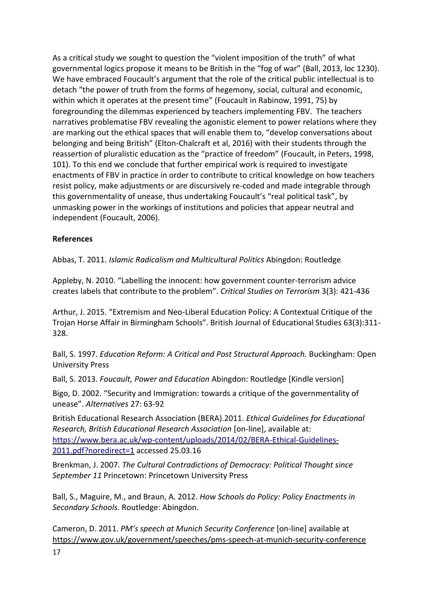As a critical study we sought to question the "violent imposition of the truth" of what governmental logics propose it means to be British in the "fog of war" (Ball, 2013, loc 1230). We have embraced Foucault's argument that the role of the critical public intellectual is to detach "the power of truth from the forms of hegemony, social, cultural and economic, within which it operates at the present time" (Foucault in Rabinow, 1991, 75) by foregrounding the dilemmas experienced by teachers implementing FBV. The teachers narratives problematise FBV revealing the agonistic element to power relations where they are marking out the ethical spaces that will enable them to, "develop conversations about belonging and being British" (Elton-Chalcraft et al, 2016) with their students through the reassertion of pluralistic education as the "practice of freedom" (Foucault, in Peters, 1998, 101). To this end we conclude that further empirical work is required to investigate enactments of FBV in practice in order to contribute to critical knowledge on how teachers resist policy, make adjustments or are discursively re-coded and made integrable through this governmentality of unease, thus undertaking Foucault's "real political task", by unmasking power in the workings of institutions and policies that appear neutral and independent (Foucault, 2006).

### **References**

Abbas, T. 2011. *Islamic Radicalism and Multicultural Politics* Abingdon: Routledge

Appleby, N. 2010. "Labelling the innocent: how government counter-terrorism advice creates labels that contribute to the problem". *Critical Studies on Terrorism* 3(3): 421-436

Arthur, J. 2015. "Extremism and Neo-Liberal Education Policy: A Contextual Critique of the Trojan Horse Affair in Birmingham Schools". British Journal of Educational Studies 63(3):311- 328.

Ball, S. 1997. *Education Reform: A Critical and Post Structural Approach.* Buckingham: Open University Press

Ball, S. 2013. *Foucault, Power and Education* Abingdon: Routledge [Kindle version]

Bigo, D. 2002. "Security and Immigration: towards a critique of the governmentality of unease". *Alternatives* 27: 63-92

British Educational Research Association (BERA).2011. *Ethical Guidelines for Educational Research, British Educational Research Association* [on-line], available at: [https://www.bera.ac.uk/wp-content/uploads/2014/02/BERA-Ethical-Guidelines-](https://www.bera.ac.uk/wp-content/uploads/2014/02/BERA-Ethical-Guidelines-2011.pdf?noredirect=1)[2011.pdf?noredirect=1](https://www.bera.ac.uk/wp-content/uploads/2014/02/BERA-Ethical-Guidelines-2011.pdf?noredirect=1) accessed 25.03.16

Brenkman, J. 2007. *The Cultural Contradictions of Democracy: Political Thought since September 11* Princetown: Princetown University Press

Ball, S., Maguire, M., and Braun, A. 2012. *How Schools do Policy: Policy Enactments in Secondary Schools*. Routledge: Abingdon.

Cameron, D. 2011. *PM's speech at Munich Security Conference* [on-line] available at <https://www.gov.uk/government/speeches/pms-speech-at-munich-security-conference>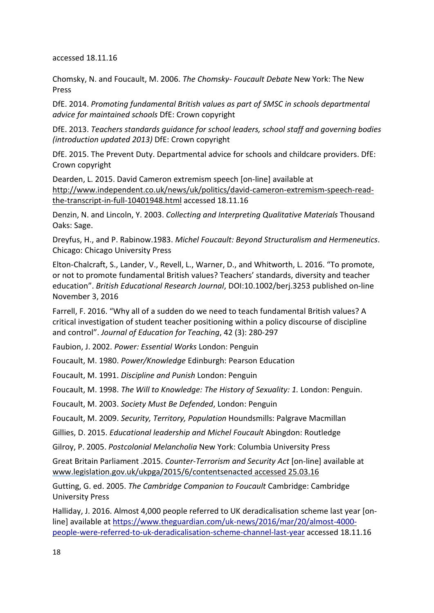accessed 18.11.16

Chomsky, N. and Foucault, M. 2006. *The Chomsky- Foucault Debate* New York: The New Press

DfE. 2014. *Promoting fundamental British values as part of SMSC in schools departmental advice for maintained schools* DfE: Crown copyright

DfE. 2013. *Teachers standards guidance for school leaders, school staff and governing bodies (introduction updated 2013)* DfE: Crown copyright

DfE. 2015. The Prevent Duty. Departmental advice for schools and childcare providers. DfE: Crown copyright

Dearden, L. 2015. David Cameron extremism speech [on-line] available at [http://www.independent.co.uk/news/uk/politics/david-cameron-extremism-speech-read](http://www.independent.co.uk/news/uk/politics/david-cameron-extremism-speech-read-the-transcript-in-full-10401948.html)[the-transcript-in-full-10401948.html](http://www.independent.co.uk/news/uk/politics/david-cameron-extremism-speech-read-the-transcript-in-full-10401948.html) accessed 18.11.16

Denzin, N. and Lincoln, Y. 2003. *Collecting and Interpreting Qualitative Materials* Thousand Oaks: Sage.

Dreyfus, H., and P. Rabinow.1983. *Michel Foucault: Beyond Structuralism and Hermeneutics*. Chicago: Chicago University Press

Elton-Chalcraft, S., Lander, V., Revell, L., Warner, D., and Whitworth, L. 2016. "To promote, or not to promote fundamental British values? Teachers' standards, diversity and teacher education". *British Educational Research Journal*, DOI:10.1002/berj.3253 published on-line November 3, 2016

Farrell, F. 2016. "Why all of a sudden do we need to teach fundamental British values? A critical investigation of student teacher positioning within a policy discourse of discipline and control". *Journal of Education for Teaching*, 42 (3): 280-297

Faubion, J. 2002. *Power: Essential Works* London: Penguin

Foucault, M. 1980. *Power/Knowledge* Edinburgh: Pearson Education

Foucault, M. 1991. *Discipline and Punish* London: Penguin

Foucault, M. 1998. *The Will to Knowledge: The History of Sexuality: 1.* London: Penguin.

Foucault, M. 2003. *Society Must Be Defended*, London: Penguin

Foucault, M. 2009. *Security, Territory, Population* Houndsmills: Palgrave Macmillan

Gillies, D. 2015. *Educational leadership and Michel Foucault* Abingdon: Routledge

Gilroy, P. 2005. *Postcolonial Melancholia* New York: Columbia University Press

Great Britain Parliament .2015. *Counter-Terrorism and Security Act* [on-line] available at [www.legislation.gov.uk/ukpga/2015/6/contentsenacted](http://www.legislation.gov.uk/ukpga/2015/6/contentsenacted%20accessed%2025.03.16) accessed 25.03.16

Gutting, G. ed. 2005. *The Cambridge Companion to Foucault* Cambridge: Cambridge University Press

Halliday, J. 2016. Almost 4,000 people referred to UK deradicalisation scheme last year [online] available at [https://www.theguardian.com/uk-news/2016/mar/20/almost-4000](https://www.theguardian.com/uk-news/2016/mar/20/almost-4000-people-were-referred-to-uk-deradicalisation-scheme-channel-last-year) [people-were-referred-to-uk-deradicalisation-scheme-channel-last-year](https://www.theguardian.com/uk-news/2016/mar/20/almost-4000-people-were-referred-to-uk-deradicalisation-scheme-channel-last-year) accessed 18.11.16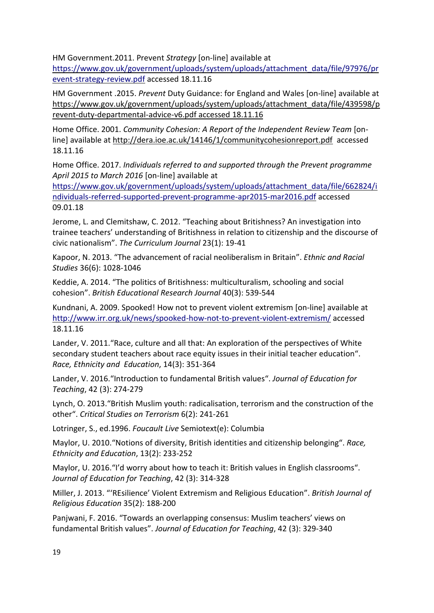HM Government.2011. Prevent *Strategy* [on-line] available at

[https://www.gov.uk/government/uploads/system/uploads/attachment\\_data/file/97976/pr](https://www.gov.uk/government/uploads/system/uploads/attachment_data/file/97976/prevent-strategy-review.pdf) [event-strategy-review.pdf](https://www.gov.uk/government/uploads/system/uploads/attachment_data/file/97976/prevent-strategy-review.pdf) accessed 18.11.16

HM Government .2015. *Prevent* Duty Guidance: for England and Wales [on-line] available at [https://www.gov.uk/government/uploads/system/uploads/attachment\\_data/file/439598/p](https://www.gov.uk/government/uploads/system/uploads/attachment_data/file/439598/prevent-duty-departmental-advice-v6.pdf%20accessed%2018.11.16) [revent-duty-departmental-advice-v6.pdf](https://www.gov.uk/government/uploads/system/uploads/attachment_data/file/439598/prevent-duty-departmental-advice-v6.pdf%20accessed%2018.11.16) accessed 18.11.16

Home Office. 2001. *Community Cohesion: A Report of the Independent Review Team* [online] available at <http://dera.ioe.ac.uk/14146/1/communitycohesionreport.pdf>accessed 18.11.16

Home Office. 2017. *Individuals referred to and supported through the Prevent programme April 2015 to March 2016* [on-line] available at

[https://www.gov.uk/government/uploads/system/uploads/attachment\\_data/file/662824/i](https://www.gov.uk/government/uploads/system/uploads/attachment_data/file/662824/individuals-referred-supported-prevent-programme-apr2015-mar2016.pdf) [ndividuals-referred-supported-prevent-programme-apr2015-mar2016.pdf](https://www.gov.uk/government/uploads/system/uploads/attachment_data/file/662824/individuals-referred-supported-prevent-programme-apr2015-mar2016.pdf) accessed 09.01.18

Jerome, L. and Clemitshaw, C. 2012. "Teaching about Britishness? An investigation into trainee teachers' understanding of Britishness in relation to citizenship and the discourse of civic nationalism". *The Curriculum Journal* 23(1): 19-41

Kapoor, N. 2013. "The advancement of racial neoliberalism in Britain". *Ethnic and Racial Studies* 36(6): 1028-1046

Keddie, A. 2014. "The politics of Britishness: multiculturalism, schooling and social cohesion". *British Educational Research Journal* 40(3): 539-544

Kundnani, A. 2009. Spooked! How not to prevent violent extremism [on-line] available at <http://www.irr.org.uk/news/spooked-how-not-to-prevent-violent-extremism/> accessed 18.11.16

Lander, V. 2011."Race, culture and all that: An exploration of the perspectives of White secondary student teachers about race equity issues in their initial teacher education". *Race, Ethnicity and Education*, 14(3): 351-364

Lander, V. 2016."Introduction to fundamental British values". *Journal of Education for Teaching*, 42 (3): 274-279

Lynch, O. 2013."British Muslim youth: radicalisation, terrorism and the construction of the other". *Critical Studies on Terrorism* 6(2): 241-261

Lotringer, S., ed.1996. *Foucault Live* Semiotext(e): Columbia

Maylor, U. 2010."Notions of diversity, British identities and citizenship belonging". *Race, Ethnicity and Education*, 13(2): 233-252

Maylor, U. 2016."I'd worry about how to teach it: British values in English classrooms". *Journal of Education for Teaching*, 42 (3): 314-328

Miller, J. 2013. "'REsilience' Violent Extremism and Religious Education". *British Journal of Religious Education* 35(2): 188-200

Panjwani, F. 2016. "Towards an overlapping consensus: Muslim teachers' views on fundamental British values". *Journal of Education for Teaching*, 42 (3): 329-340